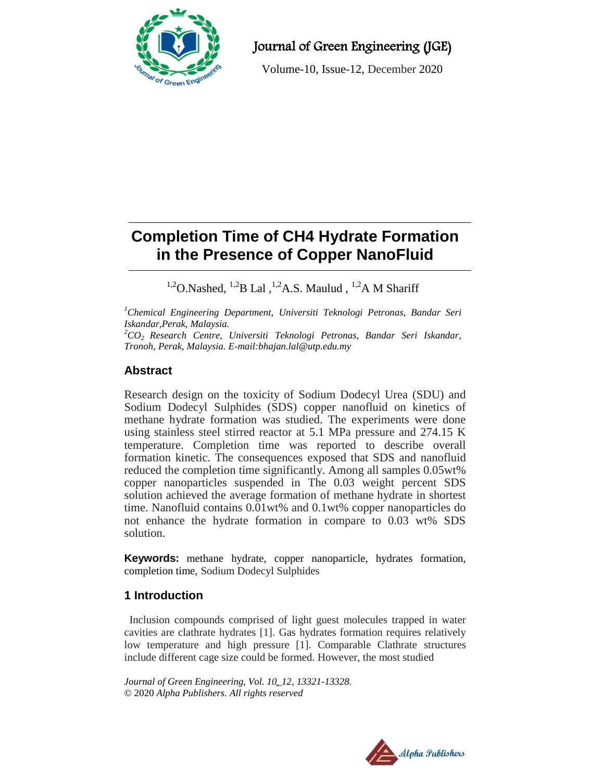

Journal of Green Engineering (JGE)

Volume-10, Issue-12, December 2020

# **Completion Time of CH4 Hydrate Formation in the Presence of Copper NanoFluid**

<sup>1,2</sup>O.Nashed, <sup>1,2</sup>B Lal<sup>1,2</sup>A.S. Maulud, <sup>1,2</sup>A M Shariff

*<sup>1</sup>Chemical Engineering Department, Universiti Teknologi Petronas, Bandar Seri Iskandar,Perak, Malaysia.*

*<sup>2</sup>CO<sup>2</sup> Research Centre, Universiti Teknologi Petronas, Bandar Seri Iskandar, Tronoh, Perak, Malaysia. E-mail:bhajan.lal@utp.edu.my*

# **Abstract**

Research design on the toxicity of Sodium Dodecyl Urea (SDU) and Sodium Dodecyl Sulphides (SDS) copper nanofluid on kinetics of methane hydrate formation was studied. The experiments were done using stainless steel stirred reactor at 5.1 MPa pressure and 274.15 K temperature. Completion time was reported to describe overall formation kinetic. The consequences exposed that SDS and nanofluid reduced the completion time significantly. Among all samples 0.05wt% copper nanoparticles suspended in The 0.03 weight percent SDS solution achieved the average formation of methane hydrate in shortest time. Nanofluid contains 0.01wt% and 0.1wt% copper nanoparticles do not enhance the hydrate formation in compare to 0.03 wt% SDS solution.

**Keywords:** methane hydrate, copper nanoparticle, hydrates formation, completion time, Sodium Dodecyl Sulphides

# **1 Introduction**

Inclusion compounds comprised of light guest molecules trapped in water cavities are clathrate hydrates [1]. Gas hydrates formation requires relatively low temperature and high pressure [1]. Comparable Clathrate structures include different cage size could be formed. However, the most studied

*Journal of Green Engineering, Vol. 10\_12, 13321-13328.*  © 2020 *Alpha Publishers. All rights reserved*

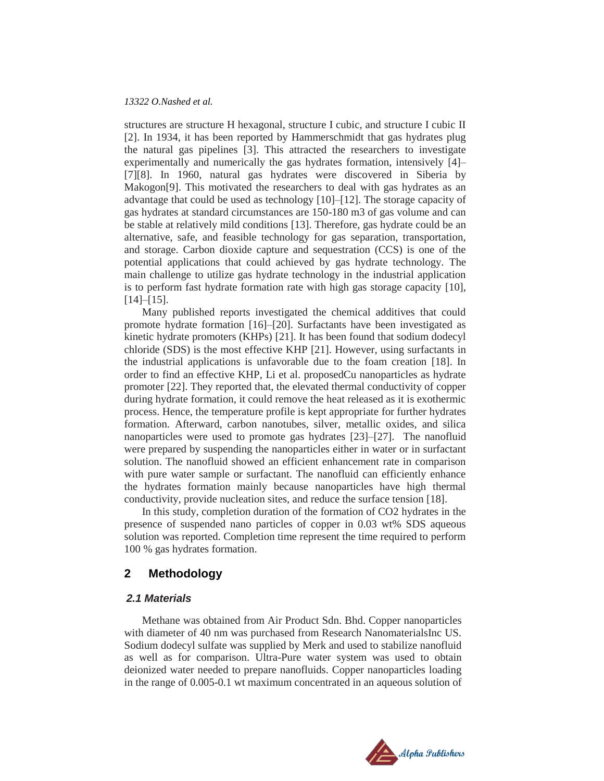#### *13322 O.Nashed et al.*

structures are structure H hexagonal, structure I cubic, and structure I cubic II [2]. In 1934, it has been reported by Hammerschmidt that gas hydrates plug the natural gas pipelines [3]. This attracted the researchers to investigate experimentally and numerically the gas hydrates formation, intensively [4]– [7][8]. In 1960, natural gas hydrates were discovered in Siberia by Makogon[9]. This motivated the researchers to deal with gas hydrates as an advantage that could be used as technology [10]–[12]. The storage capacity of gas hydrates at standard circumstances are 150-180 m3 of gas volume and can be stable at relatively mild conditions [13]. Therefore, gas hydrate could be an alternative, safe, and feasible technology for gas separation, transportation, and storage. Carbon dioxide capture and sequestration (CCS) is one of the potential applications that could achieved by gas hydrate technology. The main challenge to utilize gas hydrate technology in the industrial application is to perform fast hydrate formation rate with high gas storage capacity [10],  $[14]$ – $[15]$ .

Many published reports investigated the chemical additives that could promote hydrate formation [16]–[20]. Surfactants have been investigated as kinetic hydrate promoters (KHPs) [21]. It has been found that sodium dodecyl chloride (SDS) is the most effective KHP [21]. However, using surfactants in the industrial applications is unfavorable due to the foam creation [18]. In order to find an effective KHP, Li et al. proposedCu nanoparticles as hydrate promoter [22]. They reported that, the elevated thermal conductivity of copper during hydrate formation, it could remove the heat released as it is exothermic process. Hence, the temperature profile is kept appropriate for further hydrates formation. Afterward, carbon nanotubes, silver, metallic oxides, and silica nanoparticles were used to promote gas hydrates [23]–[27]. The nanofluid were prepared by suspending the nanoparticles either in water or in surfactant solution. The nanofluid showed an efficient enhancement rate in comparison with pure water sample or surfactant. The nanofluid can efficiently enhance the hydrates formation mainly because nanoparticles have high thermal conductivity, provide nucleation sites, and reduce the surface tension [18].

In this study, completion duration of the formation of CO2 hydrates in the presence of suspended nano particles of copper in 0.03 wt% SDS aqueous solution was reported. Completion time represent the time required to perform 100 % gas hydrates formation.

## **2 Methodology**

#### *2.1 Materials*

Methane was obtained from Air Product Sdn. Bhd. Copper nanoparticles with diameter of 40 nm was purchased from Research NanomaterialsInc US. Sodium dodecyl sulfate was supplied by Merk and used to stabilize nanofluid as well as for comparison. Ultra-Pure water system was used to obtain deionized water needed to prepare nanofluids. Copper nanoparticles loading in the range of 0.005-0.1 wt maximum concentrated in an aqueous solution of

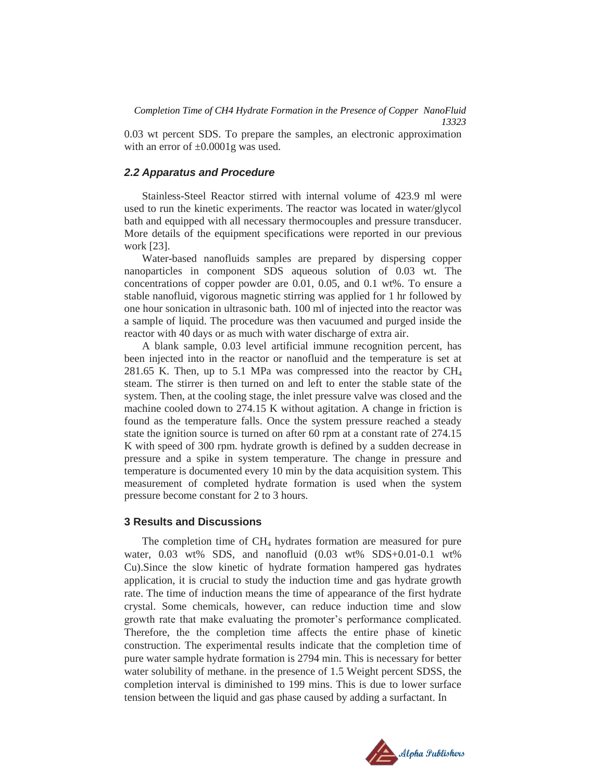0.03 wt percent SDS. To prepare the samples, an electronic approximation with an error of  $\pm 0.0001$ g was used.

#### *2.2 Apparatus and Procedure*

Stainless-Steel Reactor stirred with internal volume of 423.9 ml were used to run the kinetic experiments. The reactor was located in water/glycol bath and equipped with all necessary thermocouples and pressure transducer. More details of the equipment specifications were reported in our previous work [23].

Water-based nanofluids samples are prepared by dispersing copper nanoparticles in component SDS aqueous solution of 0.03 wt. The concentrations of copper powder are 0.01, 0.05, and 0.1 wt%. To ensure a stable nanofluid, vigorous magnetic stirring was applied for 1 hr followed by one hour sonication in ultrasonic bath. 100 ml of injected into the reactor was a sample of liquid. The procedure was then vacuumed and purged inside the reactor with 40 days or as much with water discharge of extra air.

A blank sample, 0.03 level artificial immune recognition percent, has been injected into in the reactor or nanofluid and the temperature is set at 281.65 K. Then, up to 5.1 MPa was compressed into the reactor by  $CH<sub>4</sub>$ steam. The stirrer is then turned on and left to enter the stable state of the system. Then, at the cooling stage, the inlet pressure valve was closed and the machine cooled down to 274.15 K without agitation. A change in friction is found as the temperature falls. Once the system pressure reached a steady state the ignition source is turned on after 60 rpm at a constant rate of 274.15 K with speed of 300 rpm. hydrate growth is defined by a sudden decrease in pressure and a spike in system temperature. The change in pressure and temperature is documented every 10 min by the data acquisition system. This measurement of completed hydrate formation is used when the system pressure become constant for 2 to 3 hours.

#### **3 Results and Discussions**

The completion time of  $CH<sub>4</sub>$  hydrates formation are measured for pure water, 0.03 wt% SDS, and nanofluid (0.03 wt% SDS+0.01-0.1 wt% Cu).Since the slow kinetic of hydrate formation hampered gas hydrates application, it is crucial to study the induction time and gas hydrate growth rate. The time of induction means the time of appearance of the first hydrate crystal. Some chemicals, however, can reduce induction time and slow growth rate that make evaluating the promoter's performance complicated. Therefore, the the completion time affects the entire phase of kinetic construction. The experimental results indicate that the completion time of pure water sample hydrate formation is 2794 min. This is necessary for better water solubility of methane. in the presence of 1.5 Weight percent SDSS, the completion interval is diminished to 199 mins. This is due to lower surface tension between the liquid and gas phase caused by adding a surfactant. In

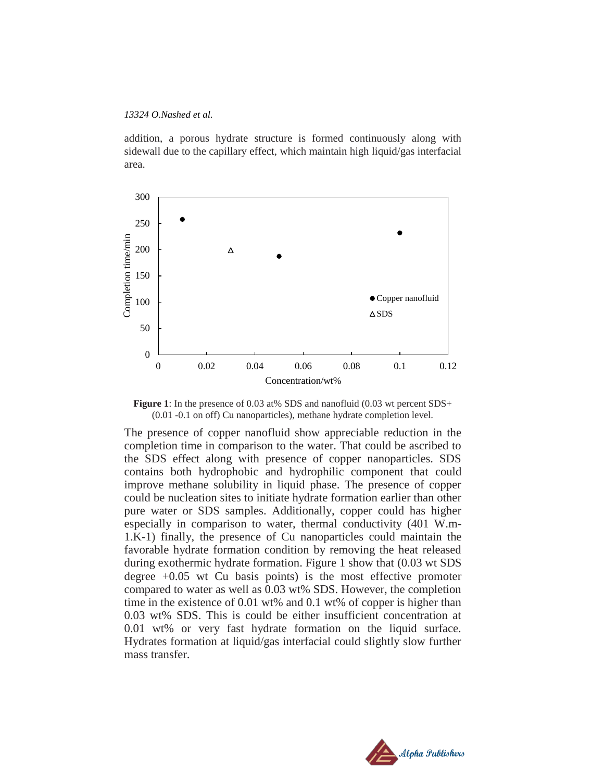#### *13324 O.Nashed et al.*

addition, a porous hydrate structure is formed continuously along with sidewall due to the capillary effect, which maintain high liquid/gas interfacial area.



**Figure** 1: In the presence of 0.03 at% SDS and nanofluid (0.03 wt percent SDS+ (0.01 -0.1 on off) Cu nanoparticles), methane hydrate completion level.

The presence of copper nanofluid show appreciable reduction in the completion time in comparison to the water. That could be ascribed to the SDS effect along with presence of copper nanoparticles. SDS contains both hydrophobic and hydrophilic component that could improve methane solubility in liquid phase. The presence of copper could be nucleation sites to initiate hydrate formation earlier than other pure water or SDS samples. Additionally, copper could has higher especially in comparison to water, thermal conductivity (401 W.m-1.K-1) finally, the presence of Cu nanoparticles could maintain the favorable hydrate formation condition by removing the heat released during exothermic hydrate formation. Figure 1 show that (0.03 wt SDS degree +0.05 wt Cu basis points) is the most effective promoter compared to water as well as 0.03 wt% SDS. However, the completion time in the existence of 0.01 wt% and 0.1 wt% of copper is higher than 0.03 wt% SDS. This is could be either insufficient concentration at 0.01 wt% or very fast hydrate formation on the liquid surface. Hydrates formation at liquid/gas interfacial could slightly slow further mass transfer.

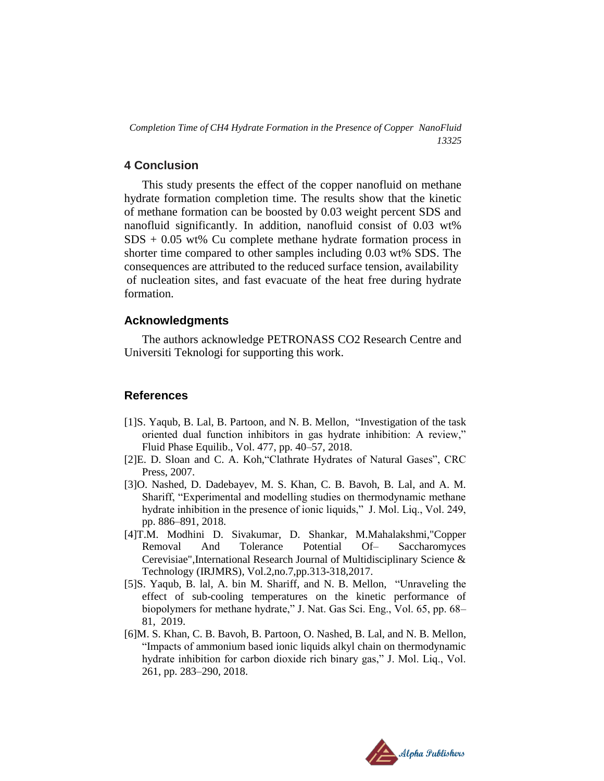*Completion Time of CH4 Hydrate Formation in the Presence of Copper NanoFluid 13325*

## **4 Conclusion**

This study presents the effect of the copper nanofluid on methane hydrate formation completion time. The results show that the kinetic of methane formation can be boosted by 0.03 weight percent SDS and nanofluid significantly. In addition, nanofluid consist of 0.03 wt%  $SDS + 0.05$  wt% Cu complete methane hydrate formation process in shorter time compared to other samples including 0.03 wt% SDS. The consequences are attributed to the reduced surface tension, availability of nucleation sites, and fast evacuate of the heat free during hydrate formation.

## **Acknowledgments**

The authors acknowledge PETRONASS CO2 Research Centre and Universiti Teknologi for supporting this work.

# **References**

- [1]S. Yaqub, B. Lal, B. Partoon, and N. B. Mellon, "Investigation of the task oriented dual function inhibitors in gas hydrate inhibition: A review," Fluid Phase Equilib., Vol. 477, pp. 40–57, 2018.
- [2]E. D. Sloan and C. A. Koh,"Clathrate Hydrates of Natural Gases", CRC Press, 2007.
- [3]O. Nashed, D. Dadebayev, M. S. Khan, C. B. Bavoh, B. Lal, and A. M. Shariff, "Experimental and modelling studies on thermodynamic methane hydrate inhibition in the presence of ionic liquids," J. Mol. Liq., Vol. 249, pp. 886–891, 2018.
- [4]T.M. Modhini D. Sivakumar, D. Shankar, M.Mahalakshmi,"Copper Removal And Tolerance Potential Of– Saccharomyces Cerevisiae",International Research Journal of Multidisciplinary Science & Technology (IRJMRS), Vol.2,no.7,pp.313-318,2017.
- [5]S. Yaqub, B. lal, A. bin M. Shariff, and N. B. Mellon, "Unraveling the effect of sub-cooling temperatures on the kinetic performance of biopolymers for methane hydrate," J. Nat. Gas Sci. Eng., Vol. 65, pp. 68– 81, 2019.
- [6]M. S. Khan, C. B. Bavoh, B. Partoon, O. Nashed, B. Lal, and N. B. Mellon, "Impacts of ammonium based ionic liquids alkyl chain on thermodynamic hydrate inhibition for carbon dioxide rich binary gas," J. Mol. Liq., Vol. 261, pp. 283–290, 2018.

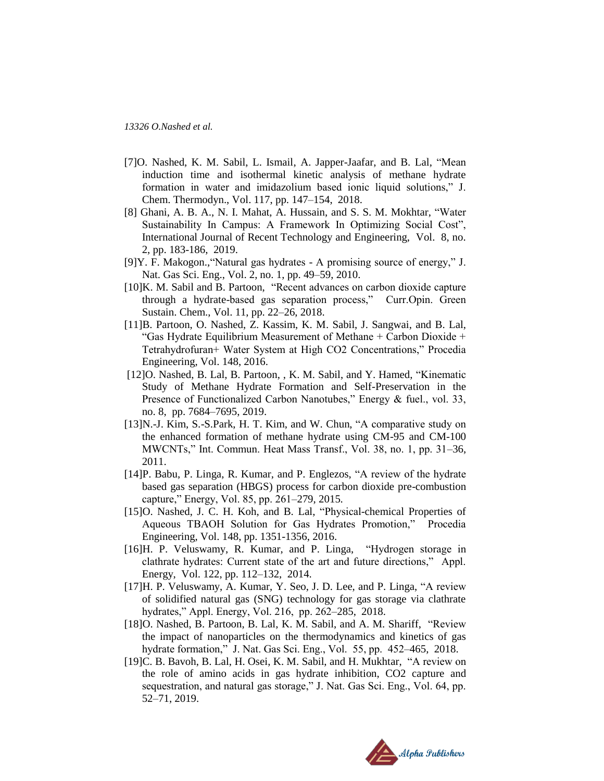- [7]O. Nashed, K. M. Sabil, L. Ismail, A. Japper-Jaafar, and B. Lal, "Mean induction time and isothermal kinetic analysis of methane hydrate formation in water and imidazolium based ionic liquid solutions," J. Chem. Thermodyn., Vol. 117, pp. 147–154, 2018.
- [8] Ghani, A. B. A., N. I. Mahat, A. Hussain, and S. S. M. Mokhtar, "Water Sustainability In Campus: A Framework In Optimizing Social Cost", International Journal of Recent Technology and Engineering, Vol. 8, no. 2, pp. 183-186, 2019.
- [9]Y. F. Makogon.,"Natural gas hydrates A promising source of energy," J. Nat. Gas Sci. Eng., Vol. 2, no. 1, pp. 49–59, 2010.
- [10]K. M. Sabil and B. Partoon, "Recent advances on carbon dioxide capture through a hydrate-based gas separation process," Curr.Opin. Green Sustain. Chem., Vol. 11, pp. 22–26, 2018.
- [11]B. Partoon, O. Nashed, Z. Kassim, K. M. Sabil, J. Sangwai, and B. Lal, "Gas Hydrate Equilibrium Measurement of Methane + Carbon Dioxide + Tetrahydrofuran+ Water System at High CO2 Concentrations," Procedia Engineering, Vol. 148, 2016.
- [12]O. Nashed, B. Lal, B. Partoon, , K. M. Sabil, and Y. Hamed, "Kinematic Study of Methane Hydrate Formation and Self-Preservation in the Presence of Functionalized Carbon Nanotubes," Energy & fuel., vol. 33, no. 8, pp. 7684–7695, 2019.
- [13]N.-J. Kim, S.-S.Park, H. T. Kim, and W. Chun, "A comparative study on the enhanced formation of methane hydrate using CM-95 and CM-100 MWCNTs," Int. Commun. Heat Mass Transf., Vol. 38, no. 1, pp. 31–36, 2011.
- [14]P. Babu, P. Linga, R. Kumar, and P. Englezos, "A review of the hydrate based gas separation (HBGS) process for carbon dioxide pre-combustion capture," Energy, Vol. 85, pp. 261–279, 2015.
- [15]O. Nashed, J. C. H. Koh, and B. Lal, "Physical-chemical Properties of Aqueous TBAOH Solution for Gas Hydrates Promotion," Procedia Engineering, Vol. 148, pp. 1351-1356, 2016.
- [16]H. P. Veluswamy, R. Kumar, and P. Linga, "Hydrogen storage in clathrate hydrates: Current state of the art and future directions," Appl. Energy, Vol. 122, pp. 112–132, 2014.
- [17]H. P. Veluswamy, A. Kumar, Y. Seo, J. D. Lee, and P. Linga, "A review of solidified natural gas (SNG) technology for gas storage via clathrate hydrates," Appl. Energy, Vol. 216, pp. 262–285, 2018.
- [18]O. Nashed, B. Partoon, B. Lal, K. M. Sabil, and A. M. Shariff, "Review the impact of nanoparticles on the thermodynamics and kinetics of gas hydrate formation," J. Nat. Gas Sci. Eng., Vol. 55, pp. 452–465, 2018.
- [19]C. B. Bavoh, B. Lal, H. Osei, K. M. Sabil, and H. Mukhtar, "A review on the role of amino acids in gas hydrate inhibition, CO2 capture and sequestration, and natural gas storage," J. Nat. Gas Sci. Eng., Vol. 64, pp. 52–71, 2019.

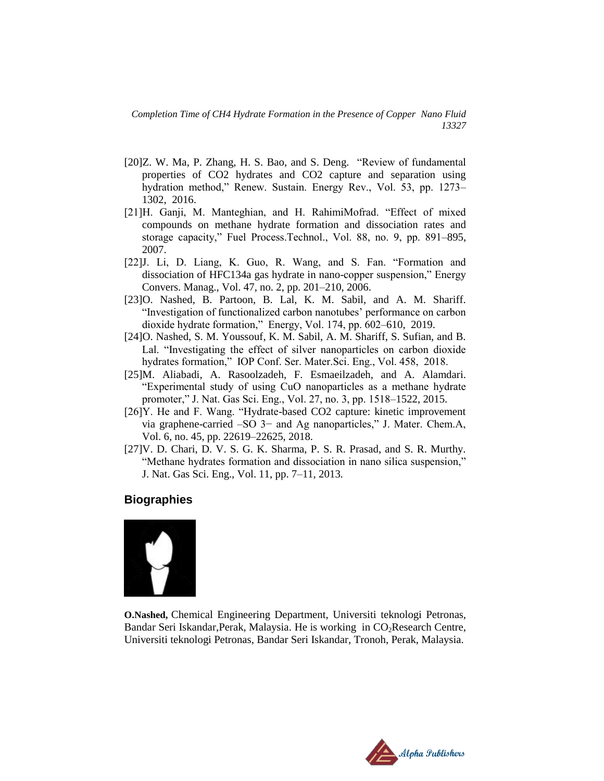- [20]Z. W. Ma, P. Zhang, H. S. Bao, and S. Deng. "Review of fundamental properties of CO2 hydrates and CO2 capture and separation using hydration method," Renew. Sustain. Energy Rev., Vol. 53, pp. 1273– 1302, 2016.
- [21]H. Ganji, M. Manteghian, and H. RahimiMofrad. "Effect of mixed compounds on methane hydrate formation and dissociation rates and storage capacity," Fuel Process.Technol., Vol. 88, no. 9, pp. 891–895, 2007.
- [22]J. Li, D. Liang, K. Guo, R. Wang, and S. Fan. "Formation and dissociation of HFC134a gas hydrate in nano-copper suspension," Energy Convers. Manag., Vol. 47, no. 2, pp. 201–210, 2006.
- [23]O. Nashed, B. Partoon, B. Lal, K. M. Sabil, and A. M. Shariff. "Investigation of functionalized carbon nanotubes' performance on carbon dioxide hydrate formation," Energy, Vol. 174, pp. 602–610, 2019.
- [24]O. Nashed, S. M. Youssouf, K. M. Sabil, A. M. Shariff, S. Sufian, and B. Lal. "Investigating the effect of silver nanoparticles on carbon dioxide hydrates formation," IOP Conf. Ser. Mater.Sci. Eng., Vol. 458, 2018.
- [25]M. Aliabadi, A. Rasoolzadeh, F. Esmaeilzadeh, and A. Alamdari. "Experimental study of using CuO nanoparticles as a methane hydrate promoter," J. Nat. Gas Sci. Eng., Vol. 27, no. 3, pp. 1518–1522, 2015.
- [26]Y. He and F. Wang. "Hydrate-based CO2 capture: kinetic improvement via graphene-carried –SO 3− and Ag nanoparticles," J. Mater. Chem.A, Vol. 6, no. 45, pp. 22619–22625, 2018.
- [27]V. D. Chari, D. V. S. G. K. Sharma, P. S. R. Prasad, and S. R. Murthy. "Methane hydrates formation and dissociation in nano silica suspension," J. Nat. Gas Sci. Eng., Vol. 11, pp. 7–11, 2013.

# **Biographies**



**O.Nashed,** Chemical Engineering Department, Universiti teknologi Petronas, Bandar Seri Iskandar, Perak, Malaysia. He is working in  $CO<sub>2</sub> Research Centre$ , Universiti teknologi Petronas, Bandar Seri Iskandar, Tronoh, Perak, Malaysia.